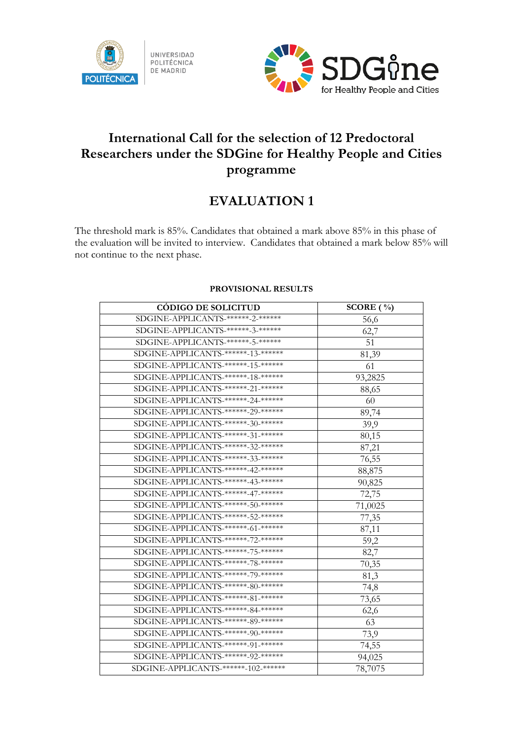



## **International Call for the selection of 12 Predoctoral Researchers under the SDGine for Healthy People and Cities programme**

## **EVALUATION 1**

The threshold mark is 85%. Candidates that obtained a mark above 85% in this phase of the evaluation will be invited to interview. Candidates that obtained a mark below 85% will not continue to the next phase.

| <b>CÓDIGO DE SOLICITUD</b>           | SCORE $(\% )$ |
|--------------------------------------|---------------|
| SDGINE-APPLICANTS-******-2-******    | 56,6          |
| SDGINE-APPLICANTS-******-3-******    | 62,7          |
| SDGINE-APPLICANTS-******-5-******    | 51            |
| SDGINE-APPLICANTS-******-13-*******  | 81,39         |
| SDGINE-APPLICANTS-******-15-*******  | 61            |
| SDGINE-APPLICANTS-******-18-******   | 93,2825       |
| SDGINE-APPLICANTS-******-21-*******  | 88,65         |
| SDGINE-APPLICANTS-******-24-******   | 60            |
| SDGINE-APPLICANTS-******-29-*******  | 89,74         |
| SDGINE-APPLICANTS-******-30-******   | 39,9          |
| SDGINE-APPLICANTS-******-31-*******  | 80,15         |
| SDGINE-APPLICANTS-******-32-*******  | 87,21         |
| SDGINE-APPLICANTS-******-33-******   | 76,55         |
| SDGINE-APPLICANTS-******-42-*******  | 88,875        |
| SDGINE-APPLICANTS-******-43-******   | 90,825        |
| SDGINE-APPLICANTS-******-47-*******  | 72,75         |
| SDGINE-APPLICANTS-******-50-*******  | 71,0025       |
| SDGINE-APPLICANTS-******-52-*******  | 77,35         |
| SDGINE-APPLICANTS-******-61-*******  | 87,11         |
| SDGINE-APPLICANTS-******-72-*******  | 59,2          |
| SDGINE-APPLICANTS-******-75-*******  | 82,7          |
| SDGINE-APPLICANTS-******-78-******   | 70,35         |
| SDGINE-APPLICANTS-******-79-*******  | 81,3          |
| SDGINE-APPLICANTS-******-80-*******  | 74,8          |
| SDGINE-APPLICANTS-******-81-******   | 73,65         |
| SDGINE-APPLICANTS-******-84-******   | 62,6          |
| SDGINE-APPLICANTS-******-89-*******  | 63            |
| SDGINE-APPLICANTS-******-90-*******  | 73,9          |
| SDGINE-APPLICANTS-******-91-******   | 74,55         |
| SDGINE-APPLICANTS-******-92-******   | 94,025        |
| SDGINE-APPLICANTS-******-102-******* | 78,7075       |

## **PROVISIONAL RESULTS**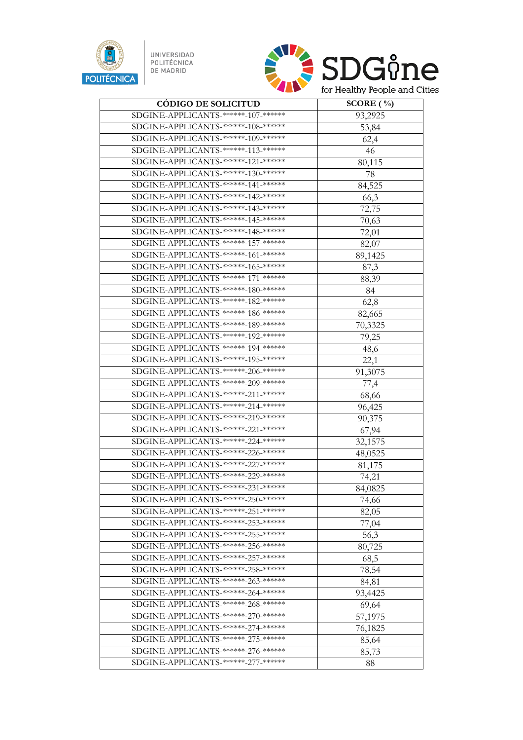

UNIVERSIDAD<br>POLITÉCNICA<br>DE MADRID



| <b>CÓDIGO DE SOLICITUD</b>                      | SCORE $(\% )$ |
|-------------------------------------------------|---------------|
| SDGINE-APPLICANTS-******-107-*******            | 93,2925       |
| SDGINE-APPLICANTS-******-108-*******            | 53,84         |
| SDGINE-APPLICANTS-******-109-*******            | 62,4          |
| SDGINE-APPLICANTS-******-113-*******            | 46            |
| SDGINE-APPLICANTS-******-121-******             | 80,115        |
| SDGINE-APPLICANTS-******-130-******             | 78            |
| SDGINE-APPLICANTS-******-141-******             | 84,525        |
| SDGINE-APPLICANTS-******-142-*******            | 66,3          |
| SDGINE-APPLICANTS-******-143-*******            | 72,75         |
| SDGINE-APPLICANTS-******-145-*******            | 70,63         |
| SDGINE-APPLICANTS-******-148-******             | 72,01         |
| SDGINE-APPLICANTS-***** <del>*157-*****</del> * | 82,07         |
| SDGINE-APPLICANTS-******-161-******             | 89,1425       |
| SDGINE-APPLICANTS-******-165-*******            | 87,3          |
| SDGINE-APPLICANTS-******-171-*******            | 88,39         |
| SDGINE-APPLICANTS-******-180-*******            | 84            |
| SDGINE-APPLICANTS-******-182-*******            | 62,8          |
| SDGINE-APPLICANTS-******-186-*******            | 82,665        |
| SDGINE-APPLICANTS-******-189-*******            | 70,3325       |
| SDGINE-APPLICANTS-******-192-*******            | 79,25         |
| SDGINE-APPLICANTS-******-194-******             | 48,6          |
| SDGINE-APPLICANTS-******-195-*******            | 22,1          |
| SDGINE-APPLICANTS-******-206-*******            | 91,3075       |
| SDGINE-APPLICANTS-******-209-*******            | 77,4          |
| SDGINE-APPLICANTS-******-211-******             | 68,66         |
| SDGINE-APPLICANTS-******-214-******             | 96,425        |
| SDGINE-APPLICANTS-******-219-*******            | 90,375        |
| SDGINE-APPLICANTS-******-221-******             | 67,94         |
| SDGINE-APPLICANTS-******-224-******             | 32,1575       |
| SDGINE-APPLICANTS-******-226-*******            | 48,0525       |
| SDGINE-APPLICANTS-******-227-*******            | 81,175        |
| SDGINE-APPLICANTS-******-229-******             | 74,21         |
| SDGINE-APPLICANTS-******-231-*******            | 84,0825       |
| SDGINE-APPLICANTS-******-250-******             | 74,66         |
| SDGINE-APPLICANTS-******-251-******             | 82,05         |
| SDGINE-APPLICANTS-******-253-*******            | 77,04         |
| SDGINE-APPLICANTS-******-255-******             | 56,3          |
| SDGINE-APPLICANTS-******-256-******             | 80,725        |
| SDGINE-APPLICANTS-******-257-*******            | 68,5          |
| SDGINE-APPLICANTS-******-258-******             | 78,54         |
| SDGINE-APPLICANTS-******-263-******             | 84,81         |
| SDGINE-APPLICANTS-******-264-******             | 93,4425       |
| SDGINE-APPLICANTS-******-268-******             | 69,64         |
| SDGINE-APPLICANTS-******-270-*******            | 57,1975       |
| SDGINE-APPLICANTS-******-274-******             | 76,1825       |
| SDGINE-APPLICANTS-******-275-*******            | 85,64         |
| SDGINE-APPLICANTS-******-276-*******            | 85,73         |
| SDGINE-APPLICANTS-******-277-******             | 88            |